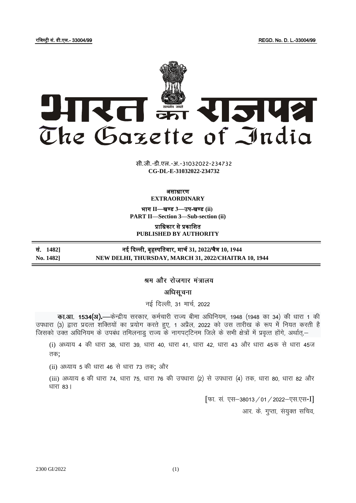रजिस्ट्री सं. डी.एल.- 33004/99 REGD. No. D. L.-33004/99



**xxxGIDHxxx xxx**GIDE**xxx CG-DL-E-31032022-234732**सी.जी.-डी.एल.-अ.-31032022-234732

## असाधारण **EXTRAORDINARY**

भाग **II**—खण् ड **3**—उप-खण् ड **(ii) PART II—Section 3—Sub-section (ii)**

प्राजधकार से प्रकाजित **PUBLISHED BY AUTHORITY**

सं. **1482]** नई दिल्ली, बृहस्ट् पजतवार, मार्च **31, 2022**/र्ैत्र **10, 1944 No. 1482] NEW DELHI, THURSDAY, MARCH 31, 2022/CHAITRA 10, 1944**

श्रम और रोजगार मंत्रालय

अधिसूचना

नई दिल्ली, 31 मार्च, 2022

**का.आ. 1534(अ).—**केन्द्रीय सरकार, कर्मचारी राज्य बीमा अधिनियम, 1948 (1948 का 34) की धारा 1 की उपधारा (3) द्वारा प्रदत्त शक्तियों का प्रयोग करते हुए, 1 अप्रैल, 2022 को उस तारीख के रूप में नियत करती है जिसको उक्त अधिनियम के उपबंध तमिलनाडु राज्य के नागपट्टिनम जिले के सभी क्षेत्रों में प्रवृत्त होंगे, अर्थात्,–

(i) अध्याय 4 की धारा 38, धारा 39, धारा 40, धारा 41, धारा 42, धारा 43 और धारा 45क से धारा 45ज तक:

(ii) अध्याय 5 की धारा 46 से धारा 73 तक; और

(iii) अध्याय 6 की धारा 74, धारा 75, धारा 76 की उपधारा (2) से उपधारा (4) तक, धारा 80, धारा 82 और धारा  $83$ ।

> [फा. सं. एस-38013 / 01 / 2022-एस.एस-I] आर. के. गुप्ता, संयुक्त सचिव,